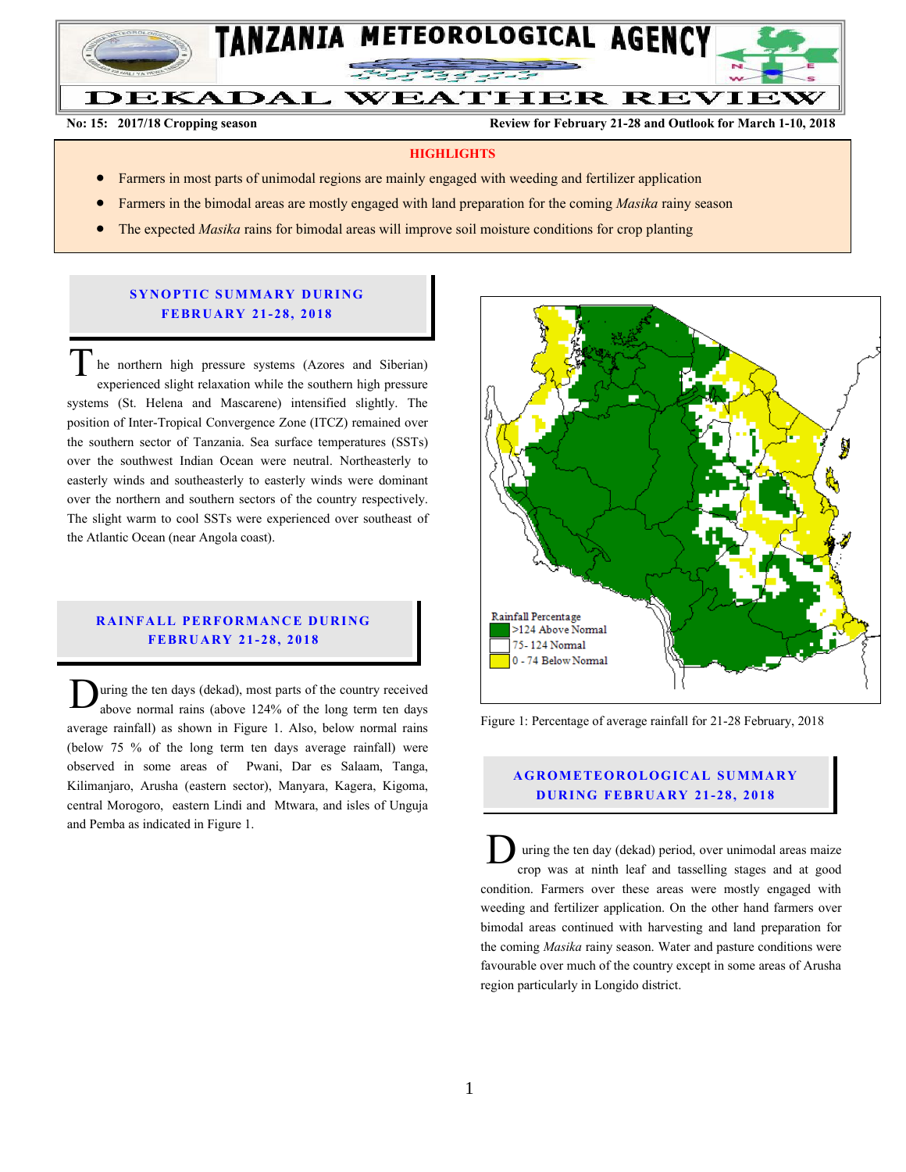

**No: 15: 2017/18 Cropping season Review for February 21-28 and Outlook for March 1-10, 2018**

#### **HIGHLIGHTS**

- Farmers in most parts of unimodal regions are mainly engaged with weeding and fertilizer application
- Farmers in the bimodal areas are mostly engaged with land preparation for the coming *Masika* rainy season
- The expected *Masika* rains for bimodal areas will improve soil moisture conditions for crop planting

### **SYNOPTIC SUMMARY DURING FEBR U A RY 21- 28, 2018**

he northern high pressure systems (Azores and Siberian) experienced slight relaxation while the southern high pressure systems (St. Helena and Mascarene) intensified slightly. The position of Inter-Tropical Convergence Zone (ITCZ) remained over the southern sector of Tanzania. Sea surface temperatures (SSTs) over the southwest Indian Ocean were neutral. Northeasterly to easterly winds and southeasterly to easterly winds were dominant over the northern and southern sectors of the country respectively. The slight warm to cool SSTs were experienced over southeast of the Atlantic Ocean (near Angola coast).  $\overline{T}$ 

# **RAINFALL PERFORMANCE DURING FEBR U A RY 21- 28, 201 8**

uring the ten days (dekad), most parts of the country received above normal rains (above 124% of the long term ten days average rainfall) as shown in Figure 1. Also, below normal rains (below 75 % of the long term ten days average rainfall) were observed in some areas of Pwani, Dar es Salaam, Tanga, Kilimanjaro, Arusha (eastern sector), Manyara, Kagera, Kigoma, central Morogoro, eastern Lindi and Mtwara, and isles of Unguja and Pemba as indicated in Figure 1. D



Figure 1: Percentage of average rainfall for 21-28 February, 2018

# **A G RO METEO R O LOG ICA L SU MMA RY D UR ING FEBR UA RY 21-28, 2018**

uring the ten day (dekad) period, over unimodal areas maize crop was at ninth leaf and tasselling stages and at good condition. Farmers over these areas were mostly engaged with weeding and fertilizer application. On the other hand farmers over bimodal areas continued with harvesting and land preparation for the coming *Masika* rainy season. Water and pasture conditions were favourable over much of the country except in some areas of Arusha region particularly in Longido district. D